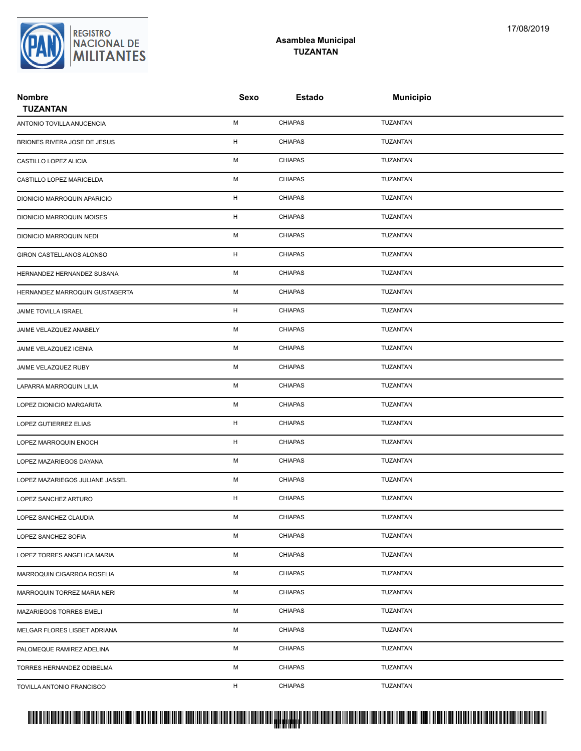## **Asamblea Municipal TUZANTAN**

| <b>Nombre</b><br><b>TUZANTAN</b> | Sexo | <b>Estado</b>  | <b>Municipio</b> |  |
|----------------------------------|------|----------------|------------------|--|
| ANTONIO TOVILLA ANUCENCIA        | М    | <b>CHIAPAS</b> | TUZANTAN         |  |
| BRIONES RIVERA JOSE DE JESUS     | н    | <b>CHIAPAS</b> | <b>TUZANTAN</b>  |  |
| CASTILLO LOPEZ ALICIA            | М    | <b>CHIAPAS</b> | TUZANTAN         |  |
| CASTILLO LOPEZ MARICELDA         | М    | <b>CHIAPAS</b> | TUZANTAN         |  |
| DIONICIO MARROQUIN APARICIO      | н    | <b>CHIAPAS</b> | TUZANTAN         |  |
| DIONICIO MARROQUIN MOISES        | н    | <b>CHIAPAS</b> | TUZANTAN         |  |
| DIONICIO MARROQUIN NEDI          | М    | <b>CHIAPAS</b> | TUZANTAN         |  |
| GIRON CASTELLANOS ALONSO         | H    | <b>CHIAPAS</b> | TUZANTAN         |  |
| HERNANDEZ HERNANDEZ SUSANA       | М    | <b>CHIAPAS</b> | TUZANTAN         |  |
| HERNANDEZ MARROQUIN GUSTABERTA   | М    | <b>CHIAPAS</b> | TUZANTAN         |  |
| JAIME TOVILLA ISRAEL             | н    | <b>CHIAPAS</b> | TUZANTAN         |  |
| JAIME VELAZQUEZ ANABELY          | М    | <b>CHIAPAS</b> | TUZANTAN         |  |
| JAIME VELAZQUEZ ICENIA           | М    | <b>CHIAPAS</b> | TUZANTAN         |  |
| JAIME VELAZQUEZ RUBY             | M    | <b>CHIAPAS</b> | TUZANTAN         |  |
| LAPARRA MARROQUIN LILIA          | М    | <b>CHIAPAS</b> | TUZANTAN         |  |
| LOPEZ DIONICIO MARGARITA         | М    | <b>CHIAPAS</b> | TUZANTAN         |  |
| LOPEZ GUTIERREZ ELIAS            | н    | <b>CHIAPAS</b> | TUZANTAN         |  |
| LOPEZ MARROQUIN ENOCH            | н    | <b>CHIAPAS</b> | TUZANTAN         |  |
| LOPEZ MAZARIEGOS DAYANA          | М    | <b>CHIAPAS</b> | TUZANTAN         |  |
| LOPEZ MAZARIEGOS JULIANE JASSEL  | М    | <b>CHIAPAS</b> | TUZANTAN         |  |
| LOPEZ SANCHEZ ARTURO             | н    | <b>CHIAPAS</b> | TUZANTAN         |  |
| LOPEZ SANCHEZ CLAUDIA            | М    | <b>CHIAPAS</b> | TUZANTAN         |  |
| LOPEZ SANCHEZ SOFIA              | М    | <b>CHIAPAS</b> | TUZANTAN         |  |
| LOPEZ TORRES ANGELICA MARIA      | М    | <b>CHIAPAS</b> | TUZANTAN         |  |
| MARROQUIN CIGARROA ROSELIA       | М    | <b>CHIAPAS</b> | TUZANTAN         |  |
| MARROQUIN TORREZ MARIA NERI      | М    | <b>CHIAPAS</b> | TUZANTAN         |  |
| MAZARIEGOS TORRES EMELI          | М    | CHIAPAS        | TUZANTAN         |  |
| MELGAR FLORES LISBET ADRIANA     | М    | <b>CHIAPAS</b> | TUZANTAN         |  |
| PALOMEQUE RAMIREZ ADELINA        | М    | <b>CHIAPAS</b> | TUZANTAN         |  |
| TORRES HERNANDEZ ODIBELMA        | М    | <b>CHIAPAS</b> | TUZANTAN         |  |
| TOVILLA ANTONIO FRANCISCO        | H    | <b>CHIAPAS</b> | TUZANTAN         |  |